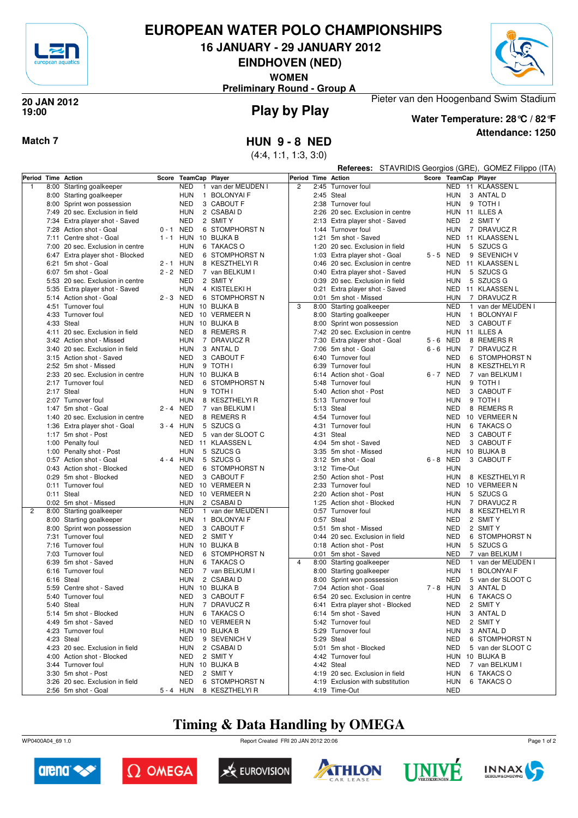

# **EUROPEAN WATER POLO CHAMPIONSHIPS**

**16 JANUARY - 29 JANUARY 2012**

**EINDHOVEN (NED)**

**WOMEN**

**Preliminary Round - Group A**



### **Play by Play 20 JAN 2012 19:00**



**Attendance: 1250 Water Temperature: 28°C / 82°F**

Pieter van den Hoogenband Swim Stadium

## **Match 7 HUN 9 - 8 NED**

(4:4, 1:1, 1:3, 3:0)

|                    |                                                      |             |            |                                   |                |      | Referees:                        |             |                          | STAVRIDIS Georgios (GRE), GOMEZ Filippo (ITA) |
|--------------------|------------------------------------------------------|-------------|------------|-----------------------------------|----------------|------|----------------------------------|-------------|--------------------------|-----------------------------------------------|
| Period Time Action |                                                      | Score       |            | <b>TeamCap Player</b>             | Period         |      | <b>Time Action</b>               |             |                          | Score TeamCap Player                          |
| $\overline{1}$     | 8:00 Starting goalkeeper                             |             | <b>NED</b> | van der MEIJDEN I                 | $\overline{2}$ | 2:45 | Turnover foul                    |             |                          | NED 11 KLAASSEN L                             |
|                    | 8:00 Starting goalkeeper                             |             | <b>HUN</b> | $\mathbf{1}$<br><b>BOLONYAIF</b>  |                |      | 2:45 Steal                       |             | HUN                      | 3 ANTAL D                                     |
|                    | 8:00 Sprint won possession                           |             | <b>NED</b> | 3 CABOUT F                        |                |      | 2:38 Turnover foul               |             | <b>HUN</b>               | 9 TOTH I                                      |
|                    | 7:49 20 sec. Exclusion in field                      |             | <b>HUN</b> | 2 CSABAI D                        |                |      | 2:26 20 sec. Exclusion in centre |             |                          | HUN 11 ILLES A                                |
|                    | 7:34 Extra player shot - Saved                       |             | <b>NED</b> | 2 SMIT Y                          |                |      | 2:13 Extra player shot - Saved   |             | NED                      | 2 SMIT Y                                      |
|                    | 7:28 Action shot - Goal                              | $0 - 1$ NED |            | 6 STOMPHORST N                    |                | 1:44 | Turnover foul                    |             | HUN                      | 7 DRAVUCZ R                                   |
|                    | 7:11 Centre shot - Goal                              | $1 - 1$ HUN |            | 10 BUJKA B                        |                | 1:21 | 5m shot - Saved                  |             | NED                      | 11 KLAASSEN L                                 |
|                    | 7:00 20 sec. Exclusion in centre                     |             | <b>HUN</b> | 6 TAKACS O                        |                | 1:20 | 20 sec. Exclusion in field       |             | <b>HUN</b>               | 5 SZUCS G                                     |
|                    | 6:47 Extra player shot - Blocked                     |             | <b>NED</b> | 6 STOMPHORST N                    |                |      | 1:03 Extra player shot - Goal    | 5-5 NED     |                          | 9 SEVENICH V                                  |
|                    | 6:21 5m shot - Goal                                  | 2 - 1 HUN   |            | 8 KESZTHELYI R                    |                |      | 0:46 20 sec. Exclusion in centre |             | NED                      | 11 KLAASSEN L                                 |
|                    | 6:07 5m shot - Goal                                  | 2 - 2 NED   |            | 7 van BELKUM I                    |                |      | 0:40 Extra player shot - Saved   |             | <b>HUN</b>               | 5 SZUCS G                                     |
|                    | 5:53 20 sec. Exclusion in centre                     |             | <b>NED</b> | 2 SMIT Y                          |                |      | 0:39 20 sec. Exclusion in field  |             | <b>HUN</b>               | 5 SZUCS G                                     |
|                    | 5:35 Extra player shot - Saved                       |             | <b>HUN</b> | 4 KISTELEKI H                     |                |      | 0:21 Extra player shot - Saved   |             | NED                      | 11 KLAASSEN L                                 |
|                    | 5:14 Action shot - Goal                              | 2-3 NED     |            | 6 STOMPHORST N                    |                | 0:01 | 5m shot - Missed                 |             | <b>HUN</b>               | 7 DRAVUCZ R                                   |
|                    | 4:51 Turnover foul                                   |             |            | HUN 10 BUJKA B                    | 3              |      | 8:00 Starting goalkeeper         |             | <b>NED</b>               | $\mathbf{1}$<br>van der MEIJDEN I             |
|                    | 4:33 Turnover foul                                   |             |            | NED 10 VERMEER N                  |                |      | 8:00 Starting goalkeeper         |             | <b>HUN</b>               | 1 BOLONYAI F                                  |
|                    | 4:33 Steal                                           |             |            | HUN 10 BUJKA B                    |                | 8:00 | Sprint won possession            |             | NED                      | 3 CABOUT F                                    |
|                    | 4:11 20 sec. Exclusion in field                      |             | NED        | 8 REMERS R                        |                |      | 7:42 20 sec. Exclusion in centre |             |                          | HUN 11 ILLES A                                |
|                    | 3:42 Action shot - Missed                            |             | HUN        | 7 DRAVUCZ R                       |                | 7:30 | Extra player shot - Goal         | 5-6 NED     |                          | 8 REMERS R                                    |
|                    | 3:40 20 sec. Exclusion in field                      |             | <b>HUN</b> | 3 ANTAL D                         |                |      | 7:06 5m shot - Goal              | $6 - 6$ HUN |                          | 7 DRAVUCZ R                                   |
|                    | 3:15 Action shot - Saved                             |             | <b>NED</b> | 3 CABOUT F                        |                | 6:40 | Turnover foul                    |             | <b>NED</b>               | 6 STOMPHORST N                                |
|                    | 2:52 5m shot - Missed                                |             | <b>HUN</b> | 9 TOTH I                          |                | 6:39 | Turnover foul                    |             | HUN                      | 8 KESZTHELYI R                                |
|                    | 2:33 20 sec. Exclusion in centre                     |             | HUN        | 10 BUJKA B                        |                |      | 6:14 Action shot - Goal          | 6-7 NED     |                          | 7 van BELKUM I                                |
|                    | 2:17 Turnover foul                                   |             | <b>NED</b> | 6 STOMPHORST N                    |                | 5:48 | Turnover foul                    |             | <b>HUN</b>               | 9 TOTH I                                      |
|                    | 2:17 Steal                                           |             | <b>HUN</b> | 9 TOTH I                          |                | 5:40 | Action shot - Post               |             | <b>NED</b>               | 3 CABOUT F                                    |
|                    | 2:07 Turnover foul<br>1:47 5m shot - Goal            |             | <b>HUN</b> | 8 KESZTHELYI R                    |                |      | 5:13 Turnover foul               |             | <b>HUN</b>               | 9 TOTH I                                      |
|                    | 1:40 20 sec. Exclusion in centre                     | 2 - 4 NED   | <b>NED</b> | 7 van BELKUM I<br>8 REMERS R      |                |      | 5:13 Steal<br>4:54 Turnover foul |             | <b>NED</b><br><b>NED</b> | 8 REMERS R<br>10 VERMEER N                    |
|                    |                                                      | $3 - 4$ HUN |            | 5 SZUCS G                         |                |      | 4:31 Turnover foul               |             | <b>HUN</b>               | 6 TAKACS O                                    |
|                    | 1:36 Extra player shot - Goal<br>1:17 5m shot - Post |             | <b>NED</b> | 5 van der SLOOT C                 |                |      | 4:31 Steal                       |             | NED                      | 3 CABOUT F                                    |
|                    | 1:00 Penalty foul                                    |             |            | NED 11 KLAASSEN L                 |                |      | 4:04 5m shot - Saved             |             | <b>NED</b>               | 3 CABOUT F                                    |
|                    | 1:00 Penalty shot - Post                             |             | <b>HUN</b> | 5 SZUCS G                         |                |      | 3:35 5m shot - Missed            |             | HUN                      | 10 BUJKA B                                    |
|                    | 0:57 Action shot - Goal                              | 4 - 4 HUN   |            | 5 SZUCS G                         |                |      | 3:12 5m shot - Goal              | 6-8 NED     |                          | 3 CABOUT F                                    |
|                    | 0:43 Action shot - Blocked                           |             | <b>NED</b> | 6 STOMPHORST N                    |                |      | 3:12 Time-Out                    |             | <b>HUN</b>               |                                               |
|                    | 0:29 5m shot - Blocked                               |             | <b>NED</b> | 3 CABOUT F                        |                |      | 2:50 Action shot - Post          |             | <b>HUN</b>               | 8 KESZTHELYI R                                |
|                    | 0:11 Turnover foul                                   |             | <b>NED</b> | 10 VERMEER N                      |                |      | 2:33 Turnover foul               |             | <b>NED</b>               | 10 VERMEER N                                  |
|                    | 0:11 Steal                                           |             | NED        | 10 VERMEER N                      |                |      | 2:20 Action shot - Post          |             | <b>HUN</b>               | 5 SZUCS G                                     |
|                    | 0:02 5m shot - Missed                                |             | <b>HUN</b> | 2 CSABAI D                        |                |      | 1:25 Action shot - Blocked       |             | <b>HUN</b>               | 7 DRAVUCZ R                                   |
| 2                  | 8:00 Starting goalkeeper                             |             | <b>NED</b> | van der MEIJDEN I<br>$\mathbf{1}$ |                |      | 0:57 Turnover foul               |             | <b>HUN</b>               | 8 KESZTHELYI R                                |
|                    | 8:00 Starting goalkeeper                             |             | <b>HUN</b> | 1 BOLONYAI F                      |                |      | 0:57 Steal                       |             | <b>NED</b>               | 2 SMIT Y                                      |
|                    | 8:00 Sprint won possession                           |             | <b>NED</b> | 3 CABOUT F                        |                | 0:51 | 5m shot - Missed                 |             | <b>NED</b>               | 2 SMIT Y                                      |
|                    | 7:31 Turnover foul                                   |             | <b>NED</b> | 2 SMIT Y                          |                |      | 0:44 20 sec. Exclusion in field  |             | <b>NED</b>               | 6 STOMPHORST N                                |
|                    | 7:16 Turnover foul                                   |             | <b>HUN</b> | 10 BUJKA B                        |                |      | 0:18 Action shot - Post          |             | <b>HUN</b>               | 5 SZUCS G                                     |
|                    | 7:03 Turnover foul                                   |             | <b>NED</b> | 6 STOMPHORST N                    |                |      | 0:01 5m shot - Saved             |             | NED                      | 7 van BELKUM I                                |
|                    | 6:39 5m shot - Saved                                 |             | <b>HUN</b> | 6 TAKACS O                        | $\overline{4}$ |      | 8:00 Starting goalkeeper         |             | <b>NED</b>               | $\mathbf{1}$<br>van der MEIJDEN I             |
|                    | 6:16 Turnover foul                                   |             | <b>NED</b> | 7 van BELKUM I                    |                |      | 8:00 Starting goalkeeper         |             | <b>HUN</b>               | 1 BOLONYAI F                                  |
|                    | 6:16 Steal                                           |             | HUN        | 2 CSABAI D                        |                | 8:00 | Sprint won possession            |             | <b>NED</b>               | 5 van der SLOOT C                             |
|                    | 5:59 Centre shot - Saved                             |             |            | HUN 10 BUJKA B                    |                |      | 7:04 Action shot - Goal          | $7 - 8$ HUN |                          | 3 ANTAL D                                     |
|                    | 5:40 Turnover foul                                   |             | <b>NED</b> | 3 CABOUT F                        |                |      | 6:54 20 sec. Exclusion in centre |             | HUN                      | 6 TAKACS O                                    |
|                    | 5:40 Steal                                           |             |            | HUN 7 DRAVUCZ R                   |                |      | 6:41 Extra player shot - Blocked |             |                          | NED 2 SMIT Y                                  |
|                    | 5:14 5m shot - Blocked                               |             | <b>HUN</b> | 6 TAKACS O                        |                |      | 6:14 5m shot - Saved             |             |                          | HUN 3 ANTAL D                                 |
|                    | 4:49 5m shot - Saved                                 |             |            | NED 10 VERMEER N                  |                |      | 5:42 Turnover foul               |             | NED                      | 2 SMIT Y                                      |
|                    | 4:23 Turnover foul                                   |             |            | HUN 10 BUJKA B                    |                |      | 5:29 Turnover foul               |             | HUN                      | 3 ANTAL D                                     |
|                    | 4:23 Steal                                           |             | NED        | 9 SEVENICH V                      |                |      | 5:29 Steal                       |             | <b>NED</b>               | 6 STOMPHORST N                                |
|                    | 4:23 20 sec. Exclusion in field                      |             |            | HUN 2 CSABAID                     |                |      | 5:01 5m shot - Blocked           |             | NED                      | 5 van der SLOOT C                             |
|                    | 4:00 Action shot - Blocked                           |             | NED        | 2 SMIT Y                          |                |      | 4:42 Turnover foul               |             |                          | HUN 10 BUJKA B                                |
|                    | 3:44 Turnover foul                                   |             |            | HUN 10 BUJKA B                    |                |      | 4:42 Steal                       |             | <b>NED</b>               | 7 van BELKUM I                                |
|                    | 3:30 5m shot - Post                                  |             | <b>NED</b> | 2 SMIT Y                          |                |      | 4:19 20 sec. Exclusion in field  |             | <b>HUN</b>               | 6 TAKACS O                                    |
|                    | 3:26 20 sec. Exclusion in field                      |             | NED        | 6 STOMPHORST N                    |                |      | 4:19 Exclusion with substitution |             | HUN                      | 6 TAKACS O                                    |
|                    | 2:56 5m shot - Goal                                  |             |            | 5 - 4 HUN 8 KESZTHELYIR           |                |      | 4:19 Time-Out                    |             | <b>NED</b>               |                                               |

# **Timing & Data Handling by OMEGA**

WP0400A04\_69 1.0 Report Created FRI 20 JAN 2012 20:06













Page 1 of 2